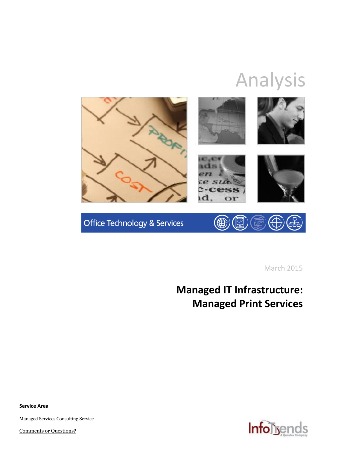# Analysis



Office Technology & Services (曲  $\mathbb{Q}$ 

March 2015

# **Managed IT Infrastructure: Managed Print Services**

**Service Area**

Managed Services Consulting Service

[Comments or Questions?](mailto:marketing@infotrends.com)

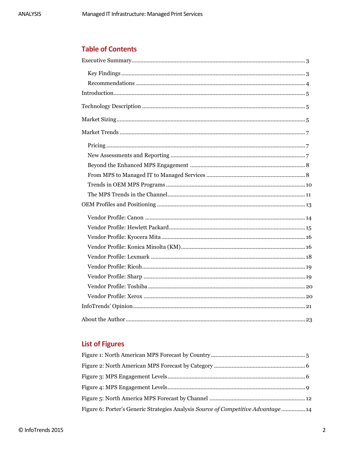## **Table of Contents**

# **List of Figures**

| Figure 6: Porter's Generic Strategies Analysis Source of Competitive Advantage 14 |
|-----------------------------------------------------------------------------------|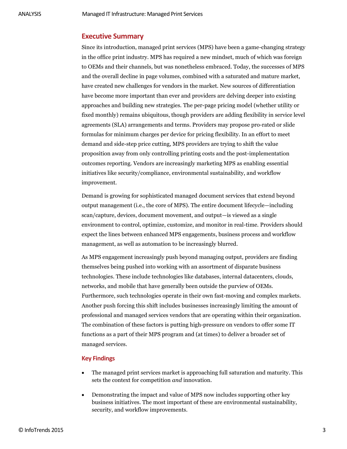#### <span id="page-2-0"></span>**Executive Summary**

Since its introduction, managed print services (MPS) have been a game-changing strategy in the office print industry. MPS has required a new mindset, much of which was foreign to OEMs and their channels, but was nonetheless embraced. Today, the successes of MPS and the overall decline in page volumes, combined with a saturated and mature market, have created new challenges for vendors in the market. New sources of differentiation have become more important than ever and providers are delving deeper into existing approaches and building new strategies. The per-page pricing model (whether utility or fixed monthly) remains ubiquitous, though providers are adding flexibility in service level agreements (SLA) arrangements and terms. Providers may propose pro-rated or slide formulas for minimum charges per device for pricing flexibility. In an effort to meet demand and side-step price cutting, MPS providers are trying to shift the value proposition away from only controlling printing costs and the post-implementation outcomes reporting. Vendors are increasingly marketing MPS as enabling essential initiatives like security/compliance, environmental sustainability, and workflow improvement.

Demand is growing for sophisticated managed document services that extend beyond output management (i.e., the core of MPS). The entire document lifecycle—including scan/capture, devices, document movement, and output—is viewed as a single environment to control, optimize, customize, and monitor in real-time. Providers should expect the lines between enhanced MPS engagements, business process and workflow management, as well as automation to be increasingly blurred.

As MPS engagement increasingly push beyond managing output, providers are finding themselves being pushed into working with an assortment of disparate business technologies. These include technologies like databases, internal datacenters, clouds, networks, and mobile that have generally been outside the purview of OEMs. Furthermore, such technologies operate in their own fast-moving and complex markets. Another push forcing this shift includes businesses increasingly limiting the amount of professional and managed services vendors that are operating within their organization. The combination of these factors is putting high-pressure on vendors to offer some IT functions as a part of their MPS program and (at times) to deliver a broader set of managed services.

#### <span id="page-2-1"></span>**Key Findings**

- The managed print services market is approaching full saturation and maturity. This sets the context for competition *and* innovation.
- Demonstrating the impact and value of MPS now includes supporting other key business initiatives. The most important of these are environmental sustainability, security, and workflow improvements.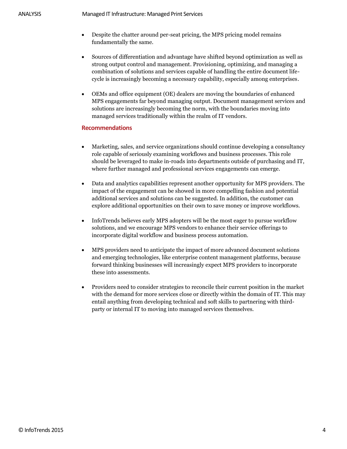- Despite the chatter around per-seat pricing, the MPS pricing model remains fundamentally the same.
- Sources of differentiation and advantage have shifted beyond optimization as well as strong output control and management. Provisioning, optimizing, and managing a combination of solutions and services capable of handling the entire document lifecycle is increasingly becoming a necessary capability, especially among enterprises.
- OEMs and office equipment (OE) dealers are moving the boundaries of enhanced MPS engagements far beyond managing output. Document management services and solutions are increasingly becoming the norm, with the boundaries moving into managed services traditionally within the realm of IT vendors.

#### <span id="page-3-0"></span>**Recommendations**

- Marketing, sales, and service organizations should continue developing a consultancy role capable of seriously examining workflows and business processes. This role should be leveraged to make in-roads into departments outside of purchasing and IT, where further managed and professional services engagements can emerge.
- Data and analytics capabilities represent another opportunity for MPS providers. The impact of the engagement can be showed in more compelling fashion and potential additional services and solutions can be suggested. In addition, the customer can explore additional opportunities on their own to save money or improve workflows.
- InfoTrends believes early MPS adopters will be the most eager to pursue workflow solutions, and we encourage MPS vendors to enhance their service offerings to incorporate digital workflow and business process automation.
- MPS providers need to anticipate the impact of more advanced document solutions and emerging technologies, like enterprise content management platforms, because forward thinking businesses will increasingly expect MPS providers to incorporate these into assessments.
- Providers need to consider strategies to reconcile their current position in the market with the demand for more services close or directly within the domain of IT. This may entail anything from developing technical and soft skills to partnering with thirdparty or internal IT to moving into managed services themselves.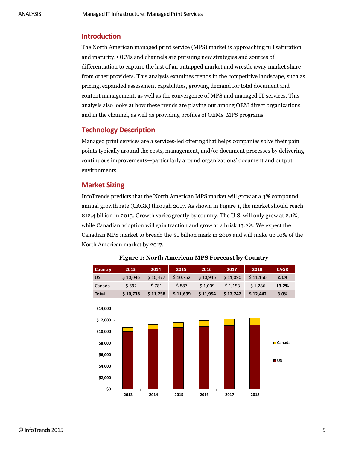#### <span id="page-4-0"></span>**Introduction**

The North American managed print service (MPS) market is approaching full saturation and maturity. OEMs and channels are pursuing new strategies and sources of differentiation to capture the last of an untapped market and wrestle away market share from other providers. This analysis examines trends in the competitive landscape, such as pricing, expanded assessment capabilities, growing demand for total document and content management, as well as the convergence of MPS and managed IT services. This analysis also looks at how these trends are playing out among OEM direct organizations and in the channel, as well as providing profiles of OEMs' MPS programs.

### <span id="page-4-1"></span>**Technology Description**

Managed print services are a services-led offering that helps companies solve their pain points typically around the costs, management, and/or document processes by delivering continuous improvements—particularly around organizations' document and output environments.

#### <span id="page-4-2"></span>**Market Sizing**

InfoTrends predicts that the North American MPS market will grow at a 3% compound annual growth rate (CAGR) through 2017. As shown in Figure 1, the market should reach \$12.4 billion in 2015. Growth varies greatly by country. The U.S. will only grow at 2.1%, while Canadian adoption will gain traction and grow at a brisk 13.2%. We expect the Canadian MPS market to breach the \$1 billion mark in 2016 and will make up 10% of the North American market by 2017.

<span id="page-4-3"></span>

# **Figure 1: North American MPS Forecast by Country North America MPS Forecast by Country**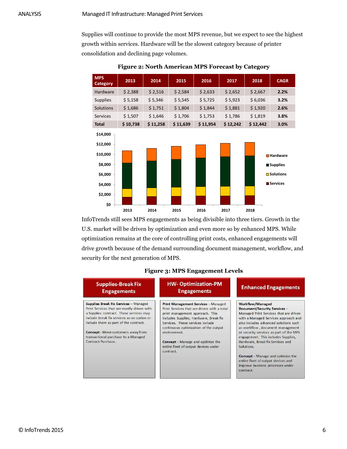Supplies will continue to provide the most MPS revenue, but we expect to see the highest growth within services. Hardware will be the slowest category because of printer consolidation and declining page volumes.

<span id="page-5-0"></span>

| Figure 2: North American MPS Forecast by Category |  |
|---------------------------------------------------|--|
|                                                   |  |

InfoTrends still sees MPS engagements as being divisible into three tiers. Growth in the U.S. market will be driven by optimization and even more so by enhanced MPS. While optimization remains at the core of controlling print costs, enhanced engagements will drive growth because of the demand surrounding document management, workflow, and security for the next generation of MPS.

<span id="page-5-1"></span>

| <b>Supplies-Break Fix</b><br><b>Engagements</b>                                                                                                                                                                                                                                                                                        | <b>HW-Optimization-PM</b><br><b>Engagements</b>                                                                                                                                                                                                                                                                                                               | <b>Enhanced Engagements</b>                                                                                                                                                                                                                                                                                                                                                                                                                                                                  |
|----------------------------------------------------------------------------------------------------------------------------------------------------------------------------------------------------------------------------------------------------------------------------------------------------------------------------------------|---------------------------------------------------------------------------------------------------------------------------------------------------------------------------------------------------------------------------------------------------------------------------------------------------------------------------------------------------------------|----------------------------------------------------------------------------------------------------------------------------------------------------------------------------------------------------------------------------------------------------------------------------------------------------------------------------------------------------------------------------------------------------------------------------------------------------------------------------------------------|
| <b>Supplies Break Fix Services - Managed</b><br>Print Services that are mostly driven with<br>a Supplies contract. These services may<br>include break fix services as an option or<br>include them as part of the contract.<br><b>Concept - Move customers away from</b><br>transactional purchase to a Managed<br>Contract Purchase. | Print Management Services - Managed<br>Print Services that are driven with a total<br>print management approach. This<br>includes Supplies, Hardware, Break fix<br>Services. These services include<br>continuous optimization of the output<br>environment.<br><b>Concept</b> – Manage and optimize the<br>entire fleet of output devices under<br>contract. | <b>Workflow/Managed</b><br>Document/Security Services-<br>Managed Print Services that are driven<br>with a Managed Services approach and<br>also includes advanced solutions such<br>as workflow, document management<br>or security services as part of the MPS<br>engagement. This includes Supplies,<br>Hardware, Break fix Services and<br>Solutions.<br><b>Concept</b> – Manage and optimize the<br>entire fleet of output devices and<br>improve business processes under<br>contract. |

#### **Figure 3: MPS Engagement Levels**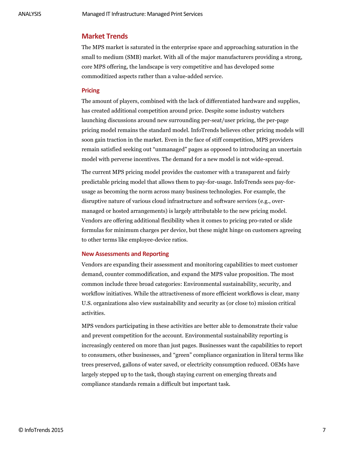#### <span id="page-6-0"></span>**Market Trends**

The MPS market is saturated in the enterprise space and approaching saturation in the small to medium (SMB) market. With all of the major manufacturers providing a strong, core MPS offering, the landscape is very competitive and has developed some commoditized aspects rather than a value-added service.

#### <span id="page-6-1"></span>**Pricing**

The amount of players, combined with the lack of differentiated hardware and supplies, has created additional competition around price. Despite some industry watchers launching discussions around new surrounding per-seat/user pricing, the per-page pricing model remains the standard model. InfoTrends believes other pricing models will soon gain traction in the market. Even in the face of stiff competition, MPS providers remain satisfied seeking out "unmanaged" pages as opposed to introducing an uncertain model with perverse incentives. The demand for a new model is not wide-spread.

The current MPS pricing model provides the customer with a transparent and fairly predictable pricing model that allows them to pay-for-usage. InfoTrends sees pay-forusage as becoming the norm across many business technologies. For example, the disruptive nature of various cloud infrastructure and software services (e.g., overmanaged or hosted arrangements) is largely attributable to the new pricing model. Vendors are offering additional flexibility when it comes to pricing pro-rated or slide formulas for minimum charges per device, but these might hinge on customers agreeing to other terms like employee-device ratios.

#### <span id="page-6-2"></span>**New Assessments and Reporting**

Vendors are expanding their assessment and monitoring capabilities to meet customer demand, counter commodification, and expand the MPS value proposition. The most common include three broad categories: Environmental sustainability, security, and workflow initiatives. While the attractiveness of more efficient workflows is clear, many U.S. organizations also view sustainability and security as (or close to) mission critical activities.

MPS vendors participating in these activities are better able to demonstrate their value and prevent competition for the account. Environmental sustainability reporting is increasingly centered on more than just pages. Businesses want the capabilities to report to consumers, other businesses, and "green" compliance organization in literal terms like trees preserved, gallons of water saved, or electricity consumption reduced. OEMs have largely stepped up to the task, though staying current on emerging threats and compliance standards remain a difficult but important task.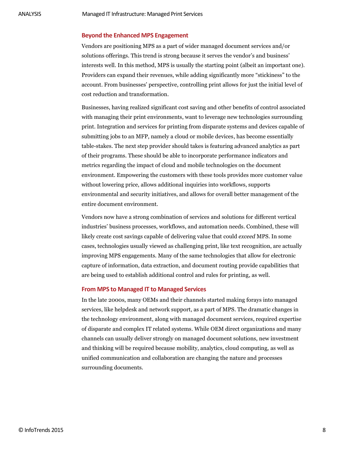#### <span id="page-7-0"></span>**Beyond the Enhanced MPS Engagement**

Vendors are positioning MPS as a part of wider managed document services and/or solutions offerings. This trend is strong because it serves the vendor's and business' interests well. In this method, MPS is usually the starting point (albeit an important one). Providers can expand their revenues, while adding significantly more "stickiness" to the account. From businesses' perspective, controlling print allows for just the initial level of cost reduction and transformation.

Businesses, having realized significant cost saving and other benefits of control associated with managing their print environments, want to leverage new technologies surrounding print. Integration and services for printing from disparate systems and devices capable of submitting jobs to an MFP, namely a cloud or mobile devices, has become essentially table-stakes. The next step provider should takes is featuring advanced analytics as part of their programs. These should be able to incorporate performance indicators and metrics regarding the impact of cloud and mobile technologies on the document environment. Empowering the customers with these tools provides more customer value without lowering price, allows additional inquiries into workflows, supports environmental and security initiatives, and allows for overall better management of the entire document environment.

Vendors now have a strong combination of services and solutions for different vertical industries' business processes, workflows, and automation needs. Combined, these will likely create cost savings capable of delivering value that could *exceed* MPS. In some cases, technologies usually viewed as challenging print, like text recognition, are actually improving MPS engagements. Many of the same technologies that allow for electronic capture of information, data extraction, and document routing provide capabilities that are being used to establish additional control and rules for printing, as well.

#### <span id="page-7-1"></span>**From MPS to Managed IT to Managed Services**

In the late 2000s, many OEMs and their channels started making forays into managed services, like helpdesk and network support, as a part of MPS. The dramatic changes in the technology environment, along with managed document services, required expertise of disparate and complex IT related systems. While OEM direct organizations and many channels can usually deliver strongly on managed document solutions, new investment and thinking will be required because mobility, analytics, cloud computing, as well as unified communication and collaboration are changing the nature and processes surrounding documents.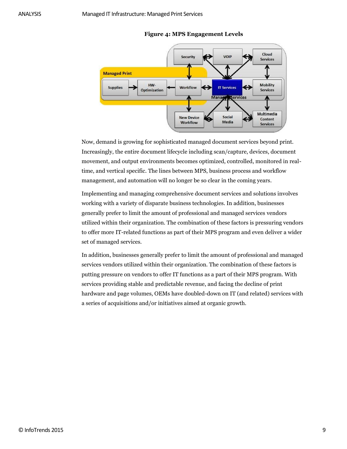<span id="page-8-0"></span>

#### **Figure 4: MPS Engagement Levels**

Now, demand is growing for sophisticated managed document services beyond print. Increasingly, the entire document lifecycle including scan/capture, devices, document movement, and output environments becomes optimized, controlled, monitored in realtime, and vertical specific. The lines between MPS, business process and workflow management, and automation will no longer be so clear in the coming years.

Implementing and managing comprehensive document services and solutions involves working with a variety of disparate business technologies. In addition, businesses generally prefer to limit the amount of professional and managed services vendors utilized within their organization. The combination of these factors is pressuring vendors to offer more IT-related functions as part of their MPS program and even deliver a wider set of managed services.

In addition, businesses generally prefer to limit the amount of professional and managed services vendors utilized within their organization. The combination of these factors is putting pressure on vendors to offer IT functions as a part of their MPS program. With services providing stable and predictable revenue, and facing the decline of print hardware and page volumes, OEMs have doubled-down on IT (and related) services with a series of acquisitions and/or initiatives aimed at organic growth.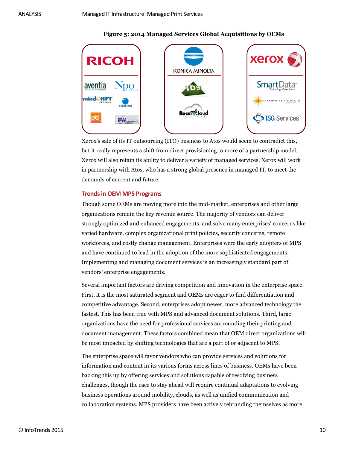#### **Figure 5: 2014 Managed Services Global Acquisitions by OEMs**



Xerox's sale of its IT outsourcing (ITO) business to Atos would seem to contradict this, but it really represents a shift from direct provisioning to more of a partnership model. Xerox will also retain its ability to deliver a variety of managed services. Xerox will work in partnership with Atos, who has a strong global presence in managed IT, to meet the demands of current and future.

#### <span id="page-9-0"></span>**Trends in OEM MPS Programs**

Though some OEMs are moving more into the mid-market, enterprises and other large organizations remain the key revenue source. The majority of vendors can deliver strongly optimized and enhanced engagements, and solve many enterprises' concerns like varied hardware, complex organizational print policies, security concerns, remote workforces, and costly change management. Enterprises were the early adopters of MPS and have continued to lead in the adoption of the more sophisticated engagements. Implementing and managing document services is an increasingly standard part of vendors' enterprise engagements.

Several important factors are driving competition and innovation in the enterprise space. First, it is the most saturated segment and OEMs are eager to find differentiation and competitive advantage. Second, enterprises adopt newer, more advanced technology the fastest. This has been true with MPS and advanced document solutions. Third, large organizations have the need for professional services surrounding their printing and document management. These factors combined mean that OEM direct organizations will be most impacted by shifting technologies that are a part of or adjacent to MPS.

The enterprise space will favor vendors who can provide services and solutions for information and content in its various forms across lines of business. OEMs have been backing this up by offering services and solutions capable of resolving business challenges, though the race to stay ahead will require continual adaptations to evolving business operations around mobility, clouds, as well as unified communication and collaboration systems. MPS providers have been actively rebranding themselves as more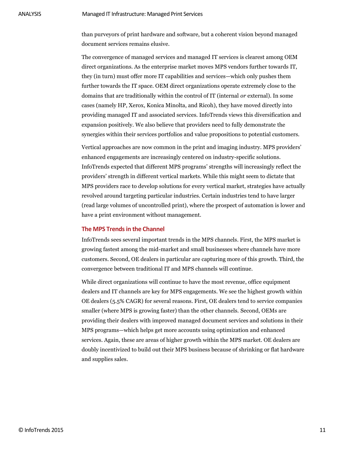than purveyors of print hardware and software, but a coherent vision beyond managed document services remains elusive.

The convergence of managed services and managed IT services is clearest among OEM direct organizations. As the enterprise market moves MPS vendors further towards IT, they (in turn) must offer more IT capabilities and services—which only pushes them further towards the IT space. OEM direct organizations operate extremely close to the domains that are traditionally within the control of IT (internal *or* external). In some cases (namely HP, Xerox, Konica Minolta, and Ricoh), they have moved directly into providing managed IT and associated services. InfoTrends views this diversification and expansion positively. We also believe that providers need to fully demonstrate the synergies within their services portfolios and value propositions to potential customers.

Vertical approaches are now common in the print and imaging industry. MPS providers' enhanced engagements are increasingly centered on industry-specific solutions. InfoTrends expected that different MPS programs' strengths will increasingly reflect the providers' strength in different vertical markets. While this might seem to dictate that MPS providers race to develop solutions for every vertical market, strategies have actually revolved around targeting particular industries. Certain industries tend to have larger (read large volumes of uncontrolled print), where the prospect of automation is lower and have a print environment without management.

#### <span id="page-10-0"></span>**The MPS Trends in the Channel**

InfoTrends sees several important trends in the MPS channels. First, the MPS market is growing fastest among the mid-market and small businesses where channels have more customers. Second, OE dealers in particular are capturing more of this growth. Third, the convergence between traditional IT and MPS channels will continue.

While direct organizations will continue to have the most revenue, office equipment dealers and IT channels are key for MPS engagements. We see the highest growth within OE dealers (5.5% CAGR) for several reasons. First, OE dealers tend to service companies smaller (where MPS is growing faster) than the other channels. Second, OEMs are providing their dealers with improved managed document services and solutions in their MPS programs—which helps get more accounts using optimization and enhanced services. Again, these are areas of higher growth within the MPS market. OE dealers are doubly incentivized to build out their MPS business because of shrinking or flat hardware and supplies sales.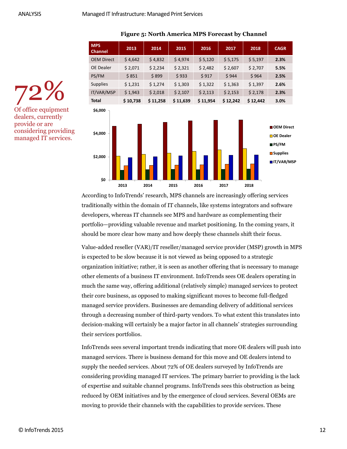| <b>MPS</b><br><b>Channel</b> | 2013     | 2014     | 2015     | 2016     | 2017     | 2018     | <b>CAGR</b> |
|------------------------------|----------|----------|----------|----------|----------|----------|-------------|
| <b>OEM Direct</b>            | \$4,642  | \$4,832  | \$4,974  | \$5,120  | \$5,175  | \$5,197  | 2.3%        |
| <b>OE Dealer</b>             | \$2,071  | \$2,234  | \$2,321  | \$2,482  | \$2,607  | \$2,707  | 5.5%        |
| PS/FM                        | \$851    | \$899    | \$933    | \$917    | \$944    | \$964    | 2.5%        |
| <b>Supplies</b>              | \$1,231  | \$1,274  | \$1,303  | \$1,322  | \$1,363  | \$1,397  | 2.6%        |
| IT/VAR/MSP                   | \$1,943  | \$2,018  | \$2,107  | \$2,113  | \$2,153  | \$2,178  | 2.3%        |
| <b>Total</b>                 | \$10,738 | \$11,258 | \$11,639 | \$11,954 | \$12,242 | \$12,442 | 3.0%        |
| \$6,000                      |          |          |          |          |          |          |             |

#### **Figure 5: North America MPS Forecast by Channel**



72% Of office equipment dealers, currently provide or are considering providing managed IT services.

> According to InfoTrends' research, MPS channels are increasingly offering services traditionally within the domain of IT channels, like systems integrators and software developers, whereas IT channels see MPS and hardware as complementing their portfolio—providing valuable revenue and market positioning. In the coming years, it should be more clear how many and how deeply these channels shift their focus.

<span id="page-11-0"></span>Value-added reseller (VAR)/IT reseller/managed service provider (MSP) growth in MPS is expected to be slow because it is not viewed as being opposed to a strategic organization initiative; rather, it is seen as another offering that is necessary to manage other elements of a business IT environment. InfoTrends sees OE dealers operating in much the same way, offering additional (relatively simple) managed services to protect their core business, as opposed to making significant moves to become full-fledged managed service providers. Businesses are demanding delivery of additional services through a decreasing number of third-party vendors. To what extent this translates into decision-making will certainly be a major factor in all channels' strategies surrounding their services portfolios. moving to provide their states in the control of the capabilities to provide services. The control of Density and the channels of experts a 2011 12.23 12.23 12.23 12.23 12.23 12.23 12.23 12.23 12.23 12.23 12.23 12.23 12.23

InfoTrends sees several important trends indicating that more OE dealers will push into managed services. There is business demand for this move and OE dealers intend to supply the needed services. About 72% of OE dealers surveyed by InfoTrends are considering providing managed IT services. The primary barrier to providing is the lack of expertise and suitable channel programs. InfoTrends sees this obstruction as being reduced by OEM initiatives and by the emergence of cloud services. Several OEMs are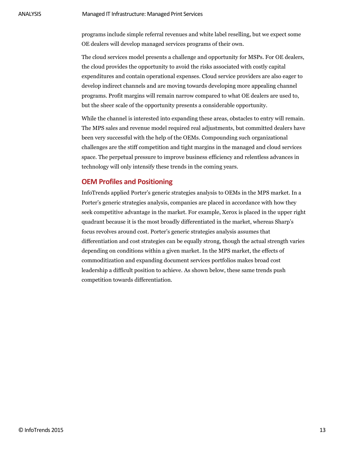programs include simple referral revenues and white label reselling, but we expect some OE dealers will develop managed services programs of their own.

The cloud services model presents a challenge and opportunity for MSPs. For OE dealers, the cloud provides the opportunity to avoid the risks associated with costly capital expenditures and contain operational expenses. Cloud service providers are also eager to develop indirect channels and are moving towards developing more appealing channel programs. Profit margins will remain narrow compared to what OE dealers are used to, but the sheer scale of the opportunity presents a considerable opportunity.

While the channel is interested into expanding these areas, obstacles to entry will remain. The MPS sales and revenue model required real adjustments, but committed dealers have been very successful with the help of the OEMs. Compounding such organizational challenges are the stiff competition and tight margins in the managed and cloud services space. The perpetual pressure to improve business efficiency and relentless advances in technology will only intensify these trends in the coming years.

#### <span id="page-12-0"></span>**OEM Profiles and Positioning**

InfoTrends applied Porter's generic strategies analysis to OEMs in the MPS market. In a Porter's generic strategies analysis, companies are placed in accordance with how they seek competitive advantage in the market. For example, Xerox is placed in the upper right quadrant because it is the most broadly differentiated in the market, whereas Sharp's focus revolves around cost. Porter's generic strategies analysis assumes that differentiation and cost strategies can be equally strong, though the actual strength varies depending on conditions within a given market. In the MPS market, the effects of commoditization and expanding document services portfolios makes broad cost leadership a difficult position to achieve. As shown below, these same trends push competition towards differentiation.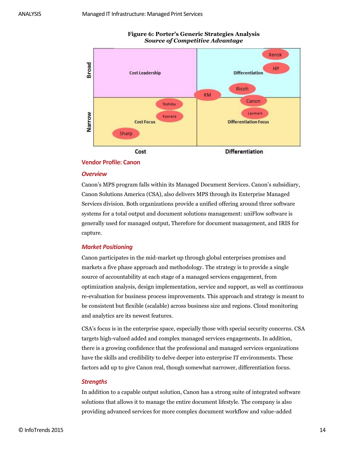<span id="page-13-1"></span>

#### **Figure 6: Porter's Generic Strategies Analysis** *Source of Competitive Advantage*

#### <span id="page-13-0"></span>**Vendor Profile: Canon**

#### *Overview*

Canon's MPS program falls within its Managed Document Services. Canon's subsidiary, Canon Solutions America (CSA), also delivers MPS through its Enterprise Managed Services division. Both organizations provide a unified offering around three software systems for a total output and document solutions management: uniFlow software is generally used for managed output, Therefore for document management, and IRIS for capture.

#### *Market Positioning*

Canon participates in the mid-market up through global enterprises promises and markets a five phase approach and methodology. The strategy is to provide a single source of accountability at each stage of a managed services engagement, from optimization analysis, design implementation, service and support, as well as continuous re-evaluation for business process improvements. This approach and strategy is meant to be consistent but flexible (scalable) across business size and regions. Cloud monitoring and analytics are its newest features.

CSA's focus is in the enterprise space, especially those with special security concerns. CSA targets high-valued added and complex managed services engagements. In addition, there is a growing confidence that the professional and managed services organizations have the skills and credibility to delve deeper into enterprise IT environments. These factors add up to give Canon real, though somewhat narrower, differentiation focus.

#### *Strengths*

In addition to a capable output solution, Canon has a strong suite of integrated software solutions that allows it to manage the entire document lifestyle. The company is also providing advanced services for more complex document workflow and value-added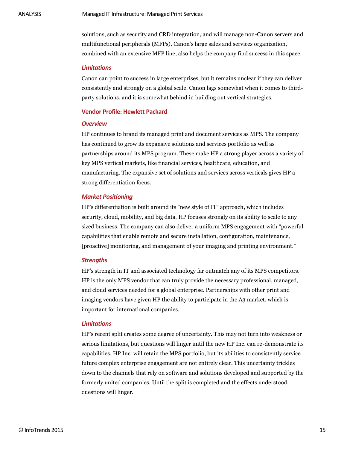solutions, such as security and CRD integration, and will manage non-Canon servers and multifunctional peripherals (MFPs). Canon's large sales and services organization, combined with an extensive MFP line, also helps the company find success in this space.

#### *Limitations*

Canon can point to success in large enterprises, but it remains unclear if they can deliver consistently and strongly on a global scale. Canon lags somewhat when it comes to thirdparty solutions, and it is somewhat behind in building out vertical strategies.

#### <span id="page-14-0"></span>**Vendor Profile: Hewlett Packard**

#### *Overview*

HP continues to brand its managed print and document services as MPS. The company has continued to grow its expansive solutions and services portfolio as well as partnerships around its MPS program. These make HP a strong player across a variety of key MPS vertical markets, like financial services, healthcare, education, and manufacturing. The expansive set of solutions and services across verticals gives HP a strong differentiation focus.

#### *Market Positioning*

HP's differentiation is built around its "new style of IT" approach, which includes security, cloud, mobility, and big data. HP focuses strongly on its ability to scale to any sized business. The company can also deliver a uniform MPS engagement with "powerful capabilities that enable remote and secure installation, configuration, maintenance, [proactive] monitoring, and management of your imaging and printing environment."

#### *Strengths*

HP's strength in IT and associated technology far outmatch any of its MPS competitors. HP is the only MPS vendor that can truly provide the necessary professional, managed, and cloud services needed for a global enterprise. Partnerships with other print and imaging vendors have given HP the ability to participate in the A3 market, which is important for international companies.

#### *Limitations*

HP's recent split creates some degree of uncertainty. This may not turn into weakness or serious limitations, but questions will linger until the new HP Inc. can re-demonstrate its capabilities. HP Inc. will retain the MPS portfolio, but its abilities to consistently service future complex enterprise engagement are not entirely clear. This uncertainty trickles down to the channels that rely on software and solutions developed and supported by the formerly united companies. Until the split is completed and the effects understood, questions will linger.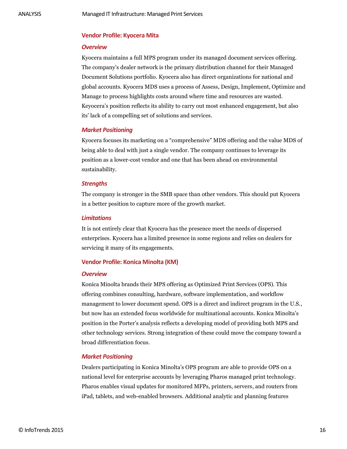#### <span id="page-15-0"></span>**Vendor Profile: Kyocera Mita**

#### *Overview*

Kyocera maintains a full MPS program under its managed document services offering. The company's dealer network is the primary distribution channel for their Managed Document Solutions portfolio. Kyocera also has direct organizations for national and global accounts. Kyocera MDS uses a process of Assess, Design, Implement, Optimize and Manage to process highlights costs around where time and resources are wasted. Keyocera's position reflects its ability to carry out most enhanced engagement, but also its' lack of a compelling set of solutions and services.

#### *Market Positioning*

Kyocera focuses its marketing on a "comprehensive" MDS offering and the value MDS of being able to deal with just a single vendor. The company continues to leverage its position as a lower-cost vendor and one that has been ahead on environmental sustainability.

#### *Strengths*

The company is stronger in the SMB space than other vendors. This should put Kyocera in a better position to capture more of the growth market.

#### *Limitations*

It is not entirely clear that Kyocera has the presence meet the needs of dispersed enterprises. Kyocera has a limited presence in some regions and relies on dealers for servicing it many of its engagements.

#### <span id="page-15-1"></span>**Vendor Profile: Konica Minolta (KM)**

#### *Overview*

Konica Minolta brands their MPS offering as Optimized Print Services (OPS). This offering combines consulting, hardware, software implementation, and workflow management to lower document spend. OPS is a direct and indirect program in the U.S., but now has an extended focus worldwide for multinational accounts. Konica Minolta's position in the Porter's analysis reflects a developing model of providing both MPS and other technology services. Strong integration of these could move the company toward a broad differentiation focus.

#### *Market Positioning*

Dealers participating in Konica Minolta's OPS program are able to provide OPS on a national level for enterprise accounts by leveraging Pharos managed print technology. Pharos enables visual updates for monitored MFPs, printers, servers, and routers from iPad, tablets, and web-enabled browsers. Additional analytic and planning features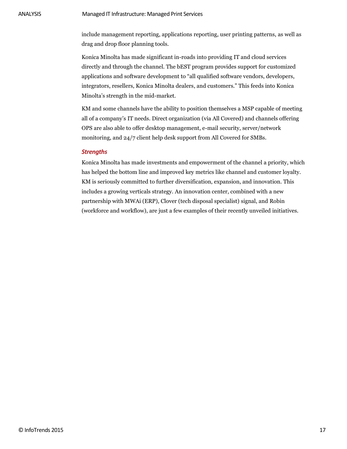include management reporting, applications reporting, user printing patterns, as well as drag and drop floor planning tools.

Konica Minolta has made significant in-roads into providing IT and cloud services directly and through the channel. The bEST program provides support for customized applications and software development to "all qualified software vendors, developers, integrators, resellers, Konica Minolta dealers, and customers." This feeds into Konica Minolta's strength in the mid-market.

KM and some channels have the ability to position themselves a MSP capable of meeting all of a company's IT needs. Direct organization (via All Covered) and channels offering OPS are also able to offer desktop management, e-mail security, server/network monitoring, and 24/7 client help desk support from All Covered for SMBs.

#### *Strengths*

Konica Minolta has made investments and empowerment of the channel a priority, which has helped the bottom line and improved key metrics like channel and customer loyalty. KM is seriously committed to further diversification, expansion, and innovation. This includes a growing verticals strategy. An innovation center, combined with a new partnership with MWAi (ERP), Clover (tech disposal specialist) signal, and Robin (workforce and workflow), are just a few examples of their recently unveiled initiatives.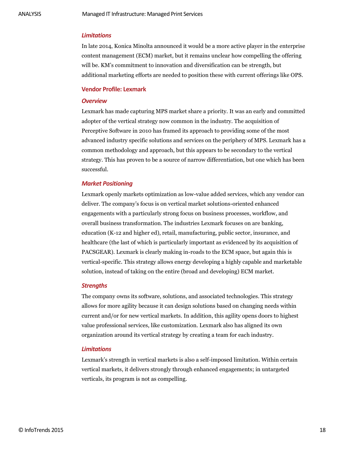#### *Limitations*

In late 2014, Konica Minolta announced it would be a more active player in the enterprise content management (ECM) market, but it remains unclear how compelling the offering will be. KM's commitment to innovation and diversification can be strength, but additional marketing efforts are needed to position these with current offerings like OPS.

#### <span id="page-17-0"></span>**Vendor Profile: Lexmark**

#### *Overview*

Lexmark has made capturing MPS market share a priority. It was an early and committed adopter of the vertical strategy now common in the industry. The acquisition of Perceptive Software in 2010 has framed its approach to providing some of the most advanced industry specific solutions and services on the periphery of MPS. Lexmark has a common methodology and approach, but this appears to be secondary to the vertical strategy. This has proven to be a source of narrow differentiation, but one which has been successful.

#### *Market Positioning*

Lexmark openly markets optimization as low-value added services, which any vendor can deliver. The company's focus is on vertical market solutions-oriented enhanced engagements with a particularly strong focus on business processes, workflow, and overall business transformation. The industries Lexmark focuses on are banking, education (K-12 and higher ed), retail, manufacturing, public sector, insurance, and healthcare (the last of which is particularly important as evidenced by its acquisition of PACSGEAR). Lexmark is clearly making in-roads to the ECM space, but again this is vertical-specific. This strategy allows energy developing a highly capable and marketable solution, instead of taking on the entire (broad and developing) ECM market.

#### *Strengths*

The company owns its software, solutions, and associated technologies. This strategy allows for more agility because it can design solutions based on changing needs within current and/or for new vertical markets. In addition, this agility opens doors to highest value professional services, like customization. Lexmark also has aligned its own organization around its vertical strategy by creating a team for each industry.

#### *Limitations*

Lexmark's strength in vertical markets is also a self-imposed limitation. Within certain vertical markets, it delivers strongly through enhanced engagements; in untargeted verticals, its program is not as compelling.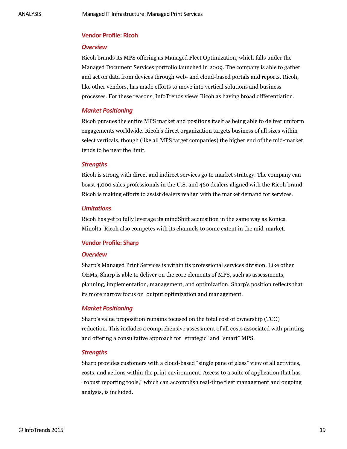#### <span id="page-18-0"></span>**Vendor Profile: Ricoh**

#### *Overview*

Ricoh brands its MPS offering as Managed Fleet Optimization, which falls under the Managed Document Services portfolio launched in 2009. The company is able to gather and act on data from devices through web- and cloud-based portals and reports. Ricoh, like other vendors, has made efforts to move into vertical solutions and business processes. For these reasons, InfoTrends views Ricoh as having broad differentiation.

#### *Market Positioning*

Ricoh pursues the entire MPS market and positions itself as being able to deliver uniform engagements worldwide. Ricoh's direct organization targets business of all sizes within select verticals, though (like all MPS target companies) the higher end of the mid-market tends to be near the limit.

#### *Strengths*

Ricoh is strong with direct and indirect services go to market strategy. The company can boast 4,000 sales professionals in the U.S. and 460 dealers aligned with the Ricoh brand. Ricoh is making efforts to assist dealers realign with the market demand for services.

#### *Limitations*

Ricoh has yet to fully leverage its mindShift acquisition in the same way as Konica Minolta. Ricoh also competes with its channels to some extent in the mid-market.

#### <span id="page-18-1"></span>**Vendor Profile: Sharp**

#### *Overview*

Sharp's Managed Print Services is within its professional services division. Like other OEMs, Sharp is able to deliver on the core elements of MPS, such as assessments, planning, implementation, management, and optimization. Sharp's position reflects that its more narrow focus on output optimization and management.

#### *Market Positioning*

Sharp's value proposition remains focused on the total cost of ownership (TCO) reduction. This includes a comprehensive assessment of all costs associated with printing and offering a consultative approach for "strategic" and "smart" MPS.

#### *Strengths*

Sharp provides customers with a cloud-based "single pane of glass" view of all activities, costs, and actions within the print environment. Access to a suite of application that has "robust reporting tools," which can accomplish real-time fleet management and ongoing analysis, is included.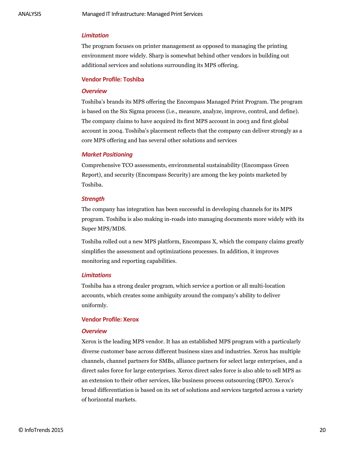#### *Limitation*

The program focuses on printer management as opposed to managing the printing environment more widely. Sharp is somewhat behind other vendors in building out additional services and solutions surrounding its MPS offering.

#### <span id="page-19-0"></span>**Vendor Profile: Toshiba**

#### *Overview*

Toshiba's brands its MPS offering the Encompass Managed Print Program. The program is based on the Six Sigma process (i.e., measure, analyze, improve, control, and define). The company claims to have acquired its first MPS account in 2003 and first global account in 2004. Toshiba's placement reflects that the company can deliver strongly as a core MPS offering and has several other solutions and services

#### *Market Positioning*

Comprehensive TCO assessments, environmental sustainability (Encompass Green Report), and security (Encompass Security) are among the key points marketed by Toshiba.

#### *Strength*

The company has integration has been successful in developing channels for its MPS program. Toshiba is also making in-roads into managing documents more widely with its Super MPS/MDS.

Toshiba rolled out a new MPS platform, Encompass X, which the company claims greatly simplifies the assessment and optimizations processes. In addition, it improves monitoring and reporting capabilities.

#### *Limitations*

Toshiba has a strong dealer program, which service a portion or all multi-location accounts, which creates some ambiguity around the company's ability to deliver uniformly.

#### <span id="page-19-1"></span>**Vendor Profile: Xerox**

#### *Overview*

Xerox is the leading MPS vendor. It has an established MPS program with a particularly diverse customer base across different business sizes and industries. Xerox has multiple channels, channel partners for SMBs, alliance partners for select large enterprises, and a direct sales force for large enterprises. Xerox direct sales force is also able to sell MPS as an extension to their other services, like business process outsourcing (BPO). Xerox's broad differentiation is based on its set of solutions and services targeted across a variety of horizontal markets.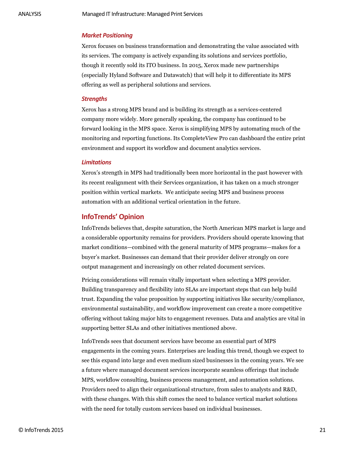#### *Market Positioning*

Xerox focuses on business transformation and demonstrating the value associated with its services. The company is actively expanding its solutions and services portfolio, though it recently sold its ITO business. In 2015, Xerox made new partnerships (especially Hyland Software and Datawatch) that will help it to differentiate its MPS offering as well as peripheral solutions and services.

#### *Strengths*

Xerox has a strong MPS brand and is building its strength as a services-centered company more widely. More generally speaking, the company has continued to be forward looking in the MPS space. Xerox is simplifying MPS by automating much of the monitoring and reporting functions. Its CompleteView Pro can dashboard the entire print environment and support its workflow and document analytics services.

#### *Limitations*

<span id="page-20-0"></span>Xerox's strength in MPS had traditionally been more horizontal in the past however with its recent realignment with their Services organization, it has taken on a much stronger position within vertical markets. We anticipate seeing MPS and business process automation with an additional vertical orientation in the future.

#### **InfoTrends' Opinion**

InfoTrends believes that, despite saturation, the North American MPS market is large and a considerable opportunity remains for providers. Providers should operate knowing that market conditions—combined with the general maturity of MPS programs—makes for a buyer's market. Businesses can demand that their provider deliver strongly on core output management and increasingly on other related document services.

Pricing considerations will remain vitally important when selecting a MPS provider. Building transparency and flexibility into SLAs are important steps that can help build trust. Expanding the value proposition by supporting initiatives like security/compliance, environmental sustainability, and workflow improvement can create a more competitive offering without taking major hits to engagement revenues. Data and analytics are vital in supporting better SLAs and other initiatives mentioned above.

InfoTrends sees that document services have become an essential part of MPS engagements in the coming years. Enterprises are leading this trend, though we expect to see this expand into large and even medium sized businesses in the coming years. We see a future where managed document services incorporate seamless offerings that include MPS, workflow consulting, business process management, and automation solutions. Providers need to align their organizational structure, from sales to analysts and R&D, with these changes. With this shift comes the need to balance vertical market solutions with the need for totally custom services based on individual businesses.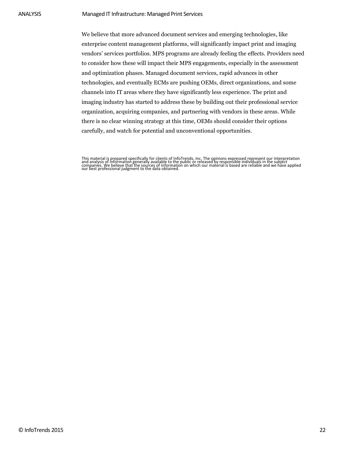We believe that more advanced document services and emerging technologies, like enterprise content management platforms, will significantly impact print and imaging vendors' services portfolios. MPS programs are already feeling the effects. Providers need to consider how these will impact their MPS engagements, especially in the assessment and optimization phases. Managed document services, rapid advances in other technologies, and eventually ECMs are pushing OEMs, direct organizations, and some channels into IT areas where they have significantly less experience. The print and imaging industry has started to address these by building out their professional service organization, acquiring companies, and partnering with vendors in these areas. While there is no clear winning strategy at this time, OEMs should consider their options carefully, and watch for potential and unconventional opportunities.

This material is prepared specifically for clients of InfoTrends, Inc. The opinions expressed represent our interpretation<br>and analysis of information generally available to the public or released by responsible individual